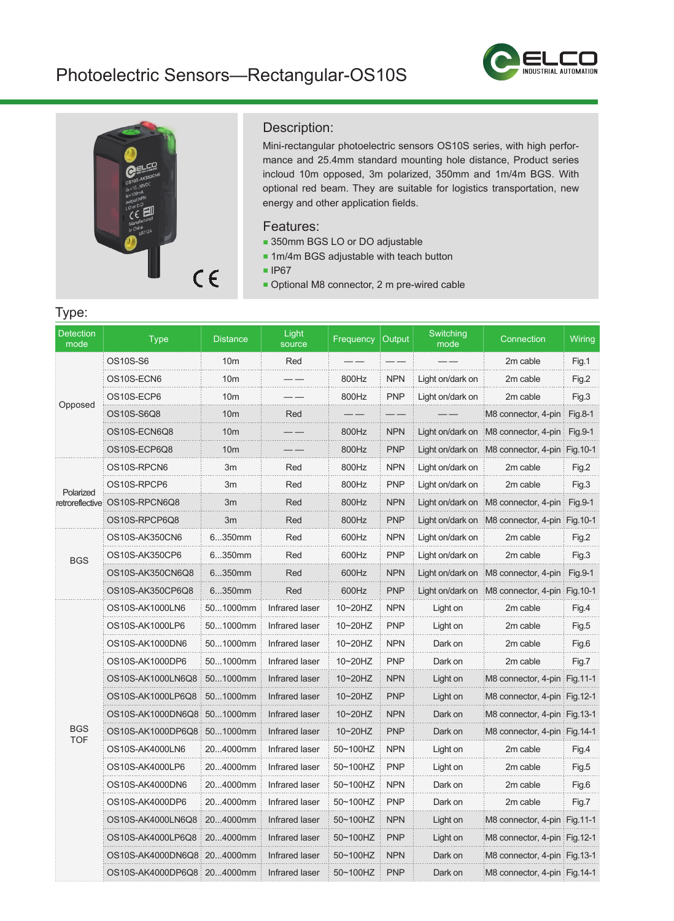



#### Description:

Mini-rectangular photoelectric sensors OS10S series, with high performance and 25.4mm standard mounting hole distance, Product series incloud 10m opposed, 3m polarized, 350mm and 1m/4m BGS. With optional red beam. They are suitable for logistics transportation, new energy and other application fields.

#### Features:

- 350mm BGS LO or DO adjustable
- 1m/4m BGS adjustable with teach button
- **IP67**
- Optional M8 connector, 2 m pre-wired cable

#### Type:

| <b>Detection</b><br>mode | <b>Type</b>                   | <b>Distance</b> | Light<br>source | Frequency | Output     | Switching<br>mode | Connection                                     | <b>Wiring</b> |
|--------------------------|-------------------------------|-----------------|-----------------|-----------|------------|-------------------|------------------------------------------------|---------------|
| Opposed                  | OS10S-S6                      | 10 <sub>m</sub> | Red             |           | ——         |                   | 2m cable                                       | Fig.1         |
|                          | OS10S-ECN6                    | 10 <sub>m</sub> |                 | 800Hz     | <b>NPN</b> | Light on/dark on  | 2m cable                                       | Fig.2         |
|                          | OS10S-ECP6                    | 10 <sub>m</sub> |                 | 800Hz     | <b>PNP</b> | Light on/dark on  | 2m cable                                       | Fig.3         |
|                          | OS10S-S6Q8                    | 10 <sub>m</sub> | Red             |           |            |                   | M8 connector, 4-pin                            | Fig.8-1       |
|                          | OS10S-ECN6Q8                  | 10 <sub>m</sub> |                 | 800Hz     | <b>NPN</b> |                   | Light on/dark on M8 connector, 4-pin           | Fig. 9-1      |
|                          | OS10S-ECP6Q8                  | 10 <sub>m</sub> |                 | 800Hz     | <b>PNP</b> |                   | Light on/dark on M8 connector, 4-pin Fig. 10-1 |               |
|                          | OS10S-RPCN6                   | 3m              | Red             | 800Hz     | <b>NPN</b> | Light on/dark on  | 2m cable                                       | Fig.2         |
| Polarized                | OS10S-RPCP6                   | 3m              | Red             | 800Hz     | <b>PNP</b> | Light on/dark on  | 2m cable                                       | Fig.3         |
|                          | retroreflective OS10S-RPCN6Q8 | 3m              | Red             | 800Hz     | <b>NPN</b> |                   | Light on/dark on M8 connector, 4-pin           | Fig.9-1       |
|                          | OS10S-RPCP6Q8                 | 3m              | Red             | 800Hz     | <b>PNP</b> |                   | Light on/dark on M8 connector, 4-pin Fig. 10-1 |               |
| <b>BGS</b>               | OS10S-AK350CN6                | $6350$ mm       | Red             | 600Hz     | <b>NPN</b> | Light on/dark on  | 2m cable                                       | Fig.2         |
|                          | OS10S-AK350CP6                | 6350mm          | Red             | 600Hz     | <b>PNP</b> | Light on/dark on  | 2m cable                                       | Fig.3         |
|                          | OS10S-AK350CN6Q8              | 6350mm          | Red             | 600Hz     | <b>NPN</b> | Light on/dark on  | M8 connector, 4-pin                            | Fig.9-1       |
|                          | OS10S-AK350CP6Q8              | 6350mm          | Red             | 600Hz     | <b>PNP</b> |                   | Light on/dark on M8 connector, 4-pin Fig. 10-1 |               |
|                          | OS10S-AK1000LN6               | 501000mm        | Infrared laser  | 10~20HZ   | <b>NPN</b> | Light on          | 2m cable                                       | Fig.4         |
|                          | OS10S-AK1000LP6               | 501000mm        | Infrared laser  | 10~20HZ   | <b>PNP</b> | Light on          | 2m cable                                       | Fig.5         |
|                          | OS10S-AK1000DN6               | 501000mm        | Infrared laser  | 10~20HZ   | <b>NPN</b> | Dark on           | 2m cable                                       | Fig.6         |
|                          | OS10S-AK1000DP6               | 501000mm        | Infrared laser  | 10~20HZ   | <b>PNP</b> | Dark on           | 2m cable                                       | Fig.7         |
|                          | OS10S-AK1000LN6Q8             | 501000mm        | Infrared laser  | 10~20HZ   | <b>NPN</b> | Light on          | M8 connector, 4-pin Fig.11-1                   |               |
|                          | OS10S-AK1000LP6Q8             | 501000mm        | Infrared laser  | 10~20HZ   | <b>PNP</b> | Light on          | M8 connector, 4-pin Fig.12-1                   |               |
|                          | OS10S-AK1000DN6Q8             | 501000mm        | Infrared laser  | 10~20HZ   | <b>NPN</b> | Dark on           | M8 connector, 4-pin Fig.13-1                   |               |
| <b>BGS</b>               | OS10S-AK1000DP6Q8             | 501000mm        | Infrared laser  | 10~20HZ   | <b>PNP</b> | Dark on           | M8 connector, 4-pin Fig.14-1                   |               |
| <b>TOF</b>               | OS10S-AK4000LN6               | 204000mm        | Infrared laser  | 50~100HZ  | <b>NPN</b> | Light on          | 2m cable                                       | Fig.4         |
|                          | OS10S-AK4000LP6               | 204000mm        | Infrared laser  | 50~100HZ  | <b>PNP</b> | Light on          | 2m cable                                       | Fig.5         |
|                          | OS10S-AK4000DN6               | 204000mm        | Infrared laser  | 50~100HZ  | <b>NPN</b> | Dark on           | 2m cable                                       | Fig.6         |
|                          | OS10S-AK4000DP6               | 204000mm        | Infrared laser  | 50~100HZ  | <b>PNP</b> | Dark on           | 2m cable                                       | Fig.7         |
|                          | OS10S-AK4000LN6Q8             | 204000mm        | Infrared laser  | 50~100HZ  | <b>NPN</b> | Light on          | M8 connector, 4-pin Fig.11-1                   |               |
|                          | OS10S-AK4000LP6Q8             | 204000mm        | Infrared laser  | 50~100HZ  | <b>PNP</b> | Light on          | M8 connector, 4-pin Fig. 12-1                  |               |
|                          | OS10S-AK4000DN6Q8             | 204000mm        | Infrared laser  | 50~100HZ  | <b>NPN</b> | Dark on           | M8 connector, 4-pin Fig.13-1                   |               |
|                          | OS10S-AK4000DP6Q8 204000mm    |                 | Infrared laser  | 50~100HZ  | <b>PNP</b> | Dark on           | M8 connector, 4-pin Fig. 14-1                  |               |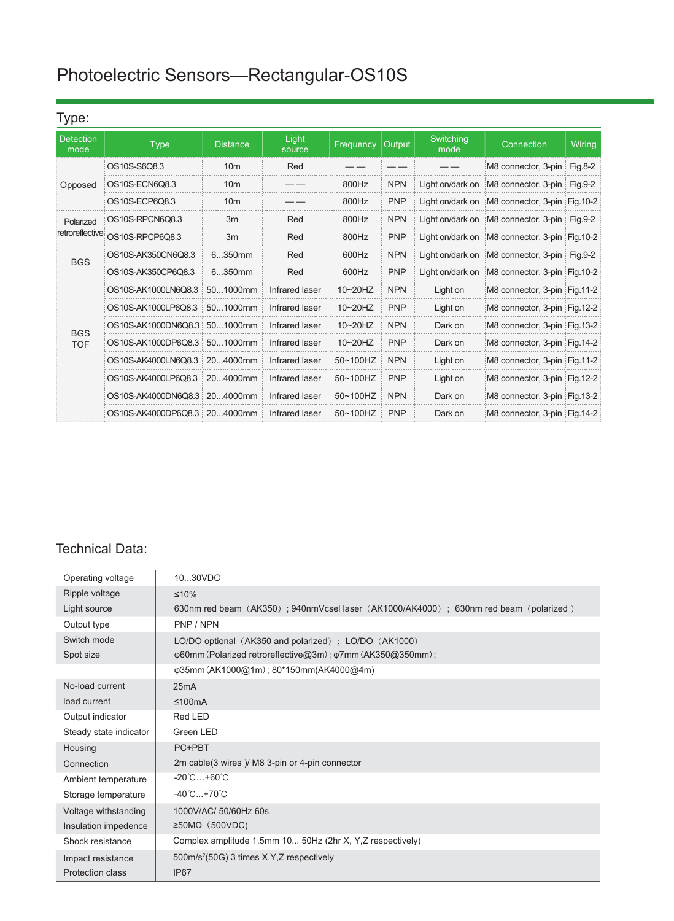# Photoelectric Sensors—Rectangular-OS10S

## Type:

| <b>Detection</b><br>mode | <b>Type</b>                  | <b>Distance</b> | Light<br>source | Frequency    | Output     | Switching<br>mode | Connection                      | Wiring  |
|--------------------------|------------------------------|-----------------|-----------------|--------------|------------|-------------------|---------------------------------|---------|
| Opposed                  | OS10S-S6O8.3                 | 10 <sub>m</sub> | Red             |              |            |                   | M8 connector, 3-pin             | Fig.8-2 |
|                          | OS10S-ECN6Q8.3               | 10 <sub>m</sub> |                 | 800Hz        | <b>NPN</b> | Light on/dark on  | M8 connector, 3-pin             | Fig.9-2 |
|                          | OS10S-ECP6Q8.3               | 10 <sub>m</sub> |                 | 800Hz        | <b>PNP</b> | Light on/dark on  | M8 connector, 3-pin Fig. 10-2   |         |
| Polarized                | OS10S-RPCN6O8.3              | 3m              | Red             | 800Hz        | <b>NPN</b> | Light on/dark on  | M8 connector, 3-pin Fig.9-2     |         |
| retroreflective          | OS10S-RPCP6Q8.3              | 3m              | Red             | 800Hz        | <b>PNP</b> | Light on/dark on  | M8 connector, 3-pin Fig. 10-2   |         |
| <b>BGS</b>               | OS10S-AK350CN6Q8.3           | $6350$ mm       | Red             | 600Hz        | <b>NPN</b> | Light on/dark on  | M8 connector, 3-pin Fig.9-2     |         |
|                          | OS10S-AK350CP6Q8.3           | $6350$ mm       | Red             | 600Hz        | <b>PNP</b> | Light on/dark on  | M8 connector, 3-pin Fig. 10-2   |         |
| <b>BGS</b><br><b>TOF</b> | OS10S-AK1000LN6Q8.3          | $501000$ mm     | Infrared laser  | 10~20HZ      | <b>NPN</b> | Light on          | M8 connector, 3-pin Fig.11-2    |         |
|                          | OS10S-AK1000LP6Q8.3          | $501000$ mm     | Infrared laser  | $10 - 20$ HZ | <b>PNP</b> | Light on          | M8 connector, 3-pin   Fig. 12-2 |         |
|                          | OS10S-AK1000DN6O8.3          | 501000mm        | Infrared laser  | 10~20HZ      | <b>NPN</b> | Dark on           | M8 connector, 3-pin Fig. 13-2   |         |
|                          | OS10S-AK1000DP6Q8.3          | 501000mm        | Infrared laser  | 10~20HZ      | <b>PNP</b> | Dark on           | M8 connector, 3-pin Fig. 14-2   |         |
|                          | OS10S-AK4000LN6O8.3          | 204000mm        | Infrared laser  | 50~100HZ     | <b>NPN</b> | Light on          | M8 connector, 3-pin Fig. 11-2   |         |
|                          | OS10S-AK4000LP6Q8.3          | 204000mm        | Infrared laser  | 50~100HZ     | <b>PNP</b> | Light on          | M8 connector, 3-pin Fig.12-2    |         |
|                          | OS10S-AK4000DN6Q8.3          | 204000mm        | Infrared laser  | 50~100HZ     | <b>NPN</b> | Dark on           | M8 connector, 3-pin Fig. 13-2   |         |
|                          | OS10S-AK4000DP6Q8.3 204000mm |                 | Infrared laser  | 50~100HZ     | <b>PNP</b> | Dark on           | M8 connector, 3-pin   Fig. 14-2 |         |

### Technical Data:

| Operating voltage       | 1030VDC                                                                              |
|-------------------------|--------------------------------------------------------------------------------------|
| Ripple voltage          | $\leq 10\%$                                                                          |
| Light source            | 630nm red beam (AK350); 940nmVcsel laser (AK1000/AK4000); 630nm red beam (polarized) |
| Output type             | PNP / NPN                                                                            |
| Switch mode             | LO/DO optional (AK350 and polarized); LO/DO (AK1000)                                 |
| Spot size               | φ60mm (Polarized retroreflective@3m); φ7mm (AK350@350mm);                            |
|                         | φ35mm (AK1000@1m); 80*150mm (AK4000@4m)                                              |
| No-load current         | 25mA                                                                                 |
| load current            | ≤100 $mA$                                                                            |
| Output indicator        | Red LED                                                                              |
| Steady state indicator  | Green LED                                                                            |
| Housing                 | PC+PBT                                                                               |
| Connection              | 2m cable(3 wires)/ M8 3-pin or 4-pin connector                                       |
| Ambient temperature     | $-20^{\circ}$ C +60 $^{\circ}$ C                                                     |
| Storage temperature     | $-40^{\circ}$ C +70 $^{\circ}$ C                                                     |
| Voltage withstanding    | 1000V/AC/ 50/60Hz 60s                                                                |
| Insulation impedence    | $\geq$ 50M $\Omega$ (500VDC)                                                         |
| Shock resistance        | Complex amplitude 1.5mm 10 50Hz (2hr X, Y, Z respectively)                           |
| Impact resistance       | 500m/s <sup>2</sup> (50G) 3 times X, Y, Z respectively                               |
| <b>Protection class</b> | IP <sub>67</sub>                                                                     |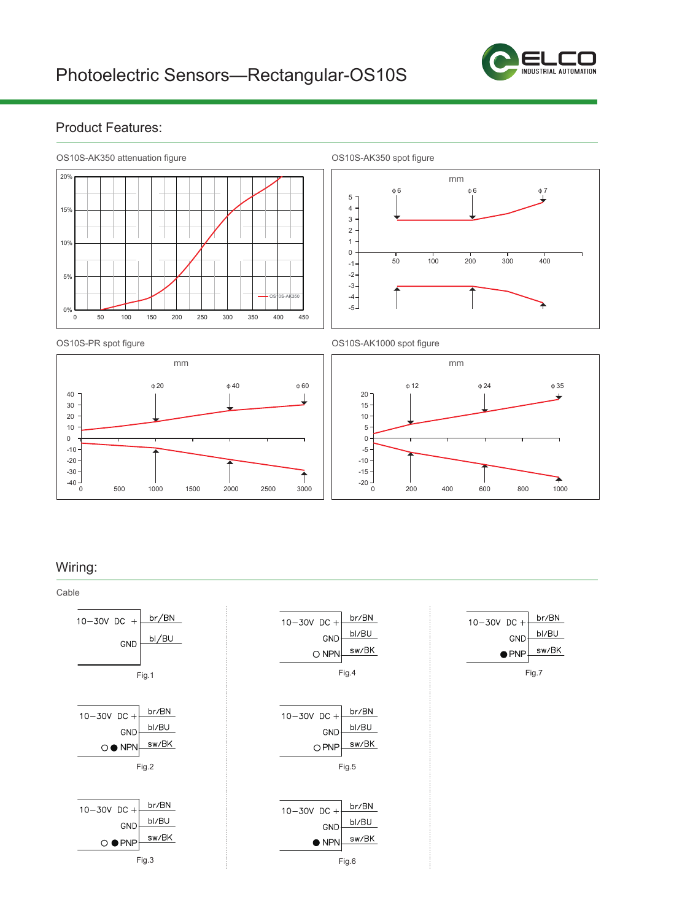

#### Product Features:











#### Wiring:

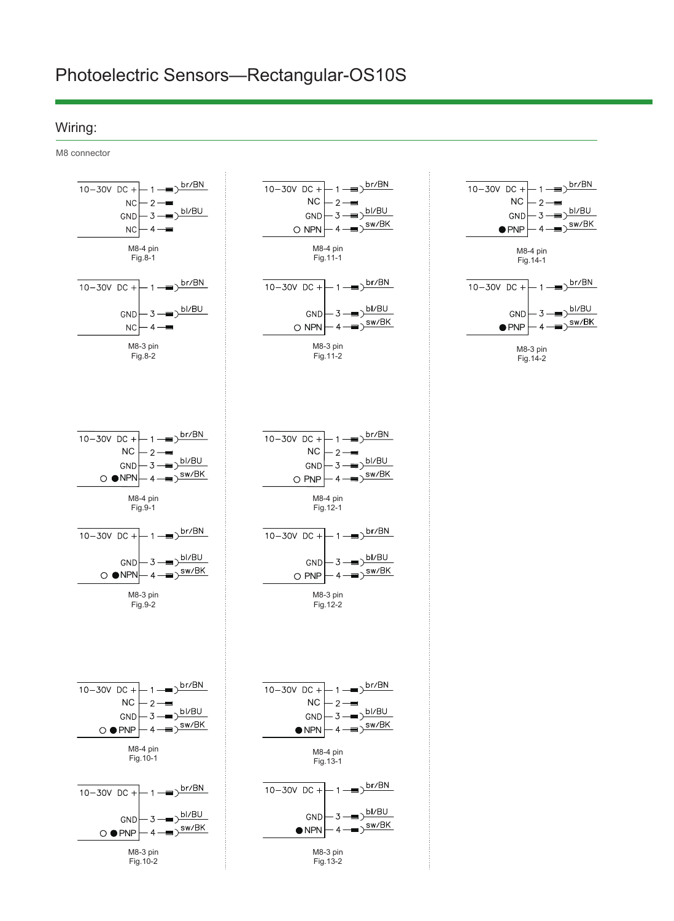#### Wiring:

M8 connector

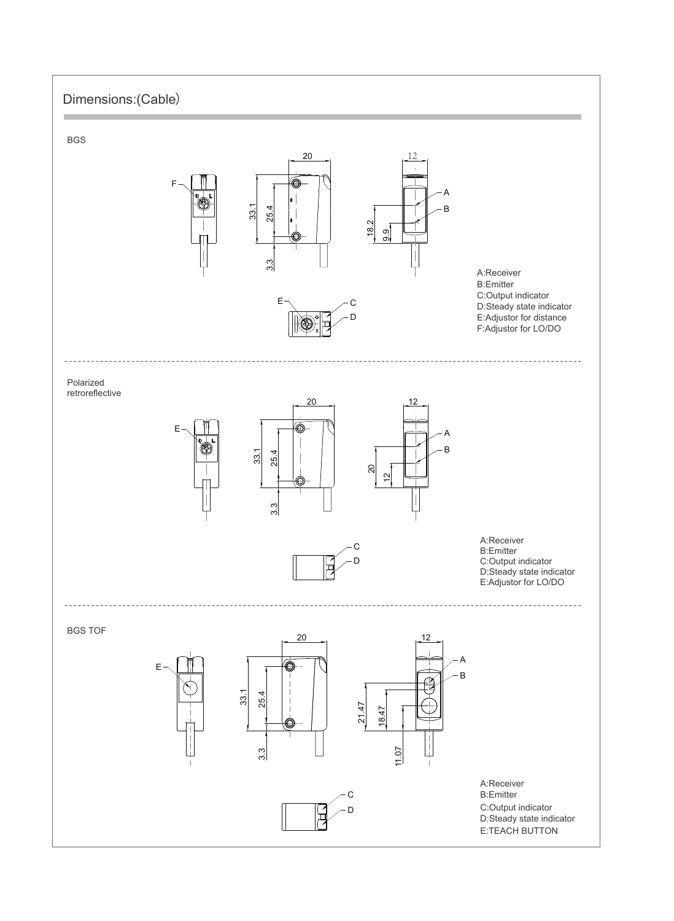#### Dimensions:(Cable)

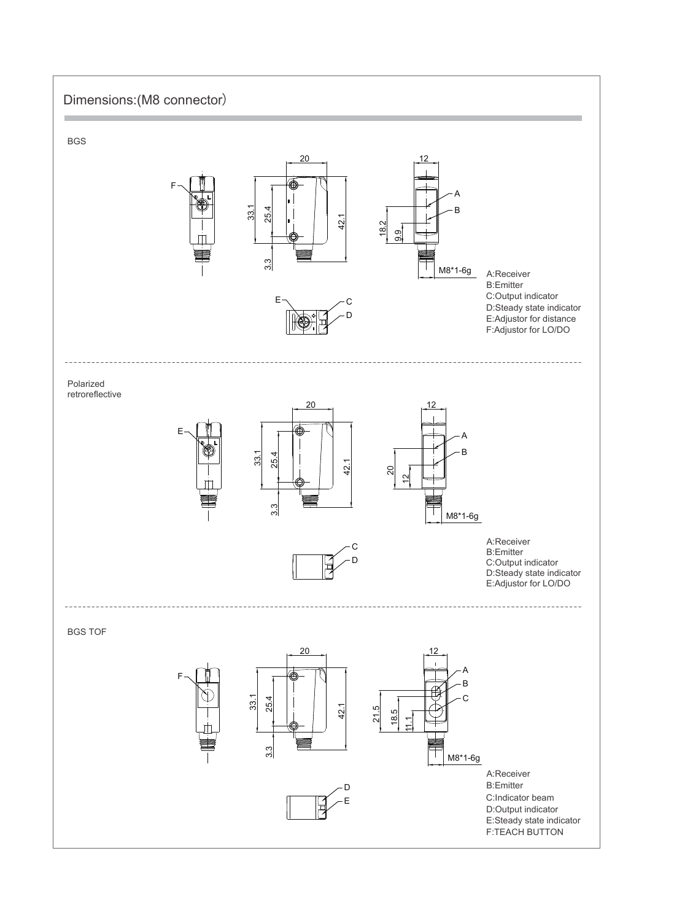#### Dimensions:(M8 connector)